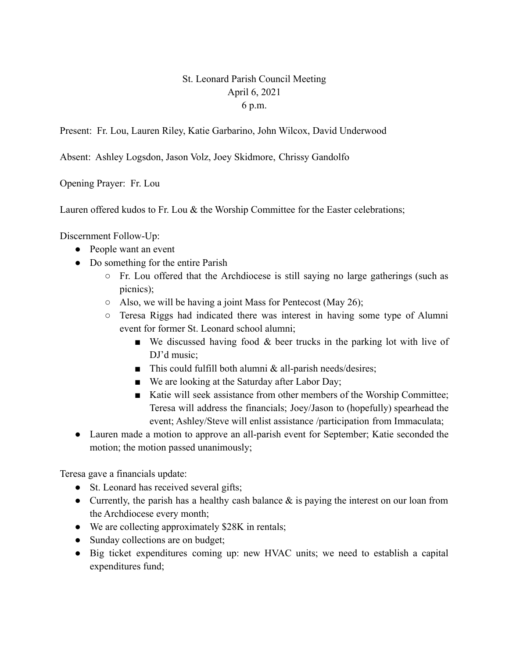## St. Leonard Parish Council Meeting April 6, 2021 6 p.m.

Present: Fr. Lou, Lauren Riley, Katie Garbarino, John Wilcox, David Underwood

Absent: Ashley Logsdon, Jason Volz, Joey Skidmore, Chrissy Gandolfo

Opening Prayer: Fr. Lou

Lauren offered kudos to Fr. Lou & the Worship Committee for the Easter celebrations;

Discernment Follow-Up:

- People want an event
- Do something for the entire Parish
	- $\circ$  Fr. Lou offered that the Archdiocese is still saying no large gatherings (such as picnics);
	- $\circ$  Also, we will be having a joint Mass for Pentecost (May 26);
	- Teresa Riggs had indicated there was interest in having some type of Alumni event for former St. Leonard school alumni;
		- $\blacksquare$  We discussed having food & beer trucks in the parking lot with live of DJ'd music;
		- This could fulfill both alumni  $&$  all-parish needs/desires;
		- We are looking at the Saturday after Labor Day;
		- Katie will seek assistance from other members of the Worship Committee; Teresa will address the financials; Joey/Jason to (hopefully) spearhead the event; Ashley/Steve will enlist assistance /participation from Immaculata;
- Lauren made a motion to approve an all-parish event for September; Katie seconded the motion; the motion passed unanimously;

Teresa gave a financials update:

- St. Leonard has received several gifts;
- Currently, the parish has a healthy cash balance  $\&$  is paying the interest on our loan from the Archdiocese every month;
- We are collecting approximately \$28K in rentals;
- Sunday collections are on budget;
- Big ticket expenditures coming up: new HVAC units; we need to establish a capital expenditures fund;